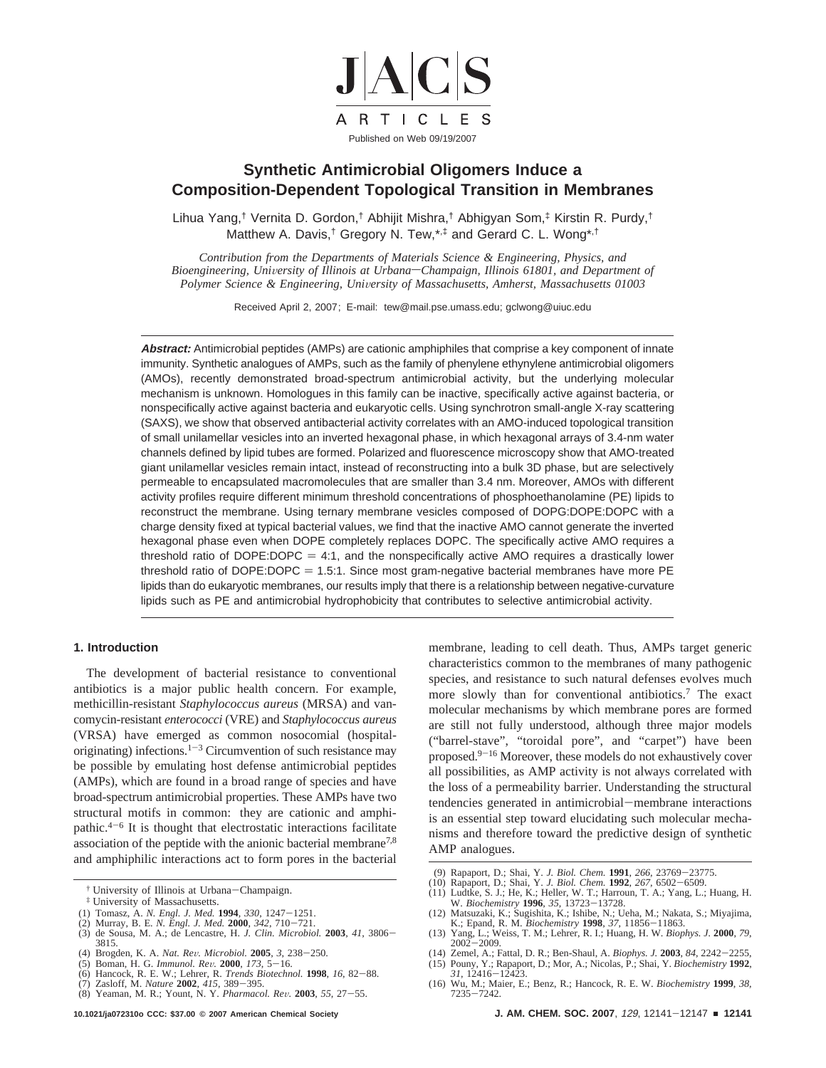

# **Synthetic Antimicrobial Oligomers Induce a Composition-Dependent Topological Transition in Membranes**

Lihua Yang,† Vernita D. Gordon,† Abhijit Mishra,† Abhigyan Som,‡ Kirstin R. Purdy,† Matthew A. Davis,<sup>†</sup> Gregory N. Tew,\*,<sup>‡</sup> and Gerard C. L. Wong\*,<sup>†</sup>

*Contribution from the Departments of Materials Science & Engineering, Physics, and Bioengineering, University of Illinois at Urbana–Champaign, Illinois 61801, and Department of Polymer Science & Engineering, University of Massachusetts, Amherst, Massachusetts 01003* 

Received April 2, 2007; E-mail: tew@mail.pse.umass.edu; gclwong@uiuc.edu

**Abstract:** Antimicrobial peptides (AMPs) are cationic amphiphiles that comprise a key component of innate immunity. Synthetic analogues of AMPs, such as the family of phenylene ethynylene antimicrobial oligomers (AMOs), recently demonstrated broad-spectrum antimicrobial activity, but the underlying molecular mechanism is unknown. Homologues in this family can be inactive, specifically active against bacteria, or nonspecifically active against bacteria and eukaryotic cells. Using synchrotron small-angle X-ray scattering (SAXS), we show that observed antibacterial activity correlates with an AMO-induced topological transition of small unilamellar vesicles into an inverted hexagonal phase, in which hexagonal arrays of 3.4-nm water channels defined by lipid tubes are formed. Polarized and fluorescence microscopy show that AMO-treated giant unilamellar vesicles remain intact, instead of reconstructing into a bulk 3D phase, but are selectively permeable to encapsulated macromolecules that are smaller than 3.4 nm. Moreover, AMOs with different activity profiles require different minimum threshold concentrations of phosphoethanolamine (PE) lipids to reconstruct the membrane. Using ternary membrane vesicles composed of DOPG:DOPE:DOPC with a charge density fixed at typical bacterial values, we find that the inactive AMO cannot generate the inverted hexagonal phase even when DOPE completely replaces DOPC. The specifically active AMO requires a threshold ratio of DOPE:DOPC  $= 4:1$ , and the nonspecifically active AMO requires a drastically lower threshold ratio of DOPE:DOPC =  $1.5:1$ . Since most gram-negative bacterial membranes have more PE lipids than do eukaryotic membranes, our results imply that there is a relationship between negative-curvature lipids such as PE and antimicrobial hydrophobicity that contributes to selective antimicrobial activity.

## **1. Introduction**

The development of bacterial resistance to conventional antibiotics is a major public health concern. For example, methicillin-resistant *Staphylococcus aureus* (MRSA) and vancomycin-resistant *enterococci* (VRE) and *Staphylococcus aureus* (VRSA) have emerged as common nosocomial (hospitaloriginating) infections.<sup>1-3</sup> Circumvention of such resistance may be possible by emulating host defense antimicrobial peptides (AMPs), which are found in a broad range of species and have broad-spectrum antimicrobial properties. These AMPs have two structural motifs in common: they are cationic and amphipathic. $4-6$  It is thought that electrostatic interactions facilitate association of the peptide with the anionic bacterial membrane7,8 and amphiphilic interactions act to form pores in the bacterial

† University of Illinois at Urbana-Champaign.

- (1) Tomasz, A. *N. Engl. J. Med.* **<sup>1994</sup>**, *<sup>330</sup>*, 1247-1251.
- 
- (2) Murray, B. E. *N. Engl. J. Med.* **<sup>2000</sup>**, *<sup>342</sup>*, 710-721. (3) de Sousa, M. A.; de Lencastre, H. *J. Clin. Microbiol.* **<sup>2003</sup>**, *<sup>41</sup>*, 3806- 3815. (4) Brogden, K. A. *Nat. Re*V*. Microbiol.* **<sup>2005</sup>**, *<sup>3</sup>*, 238-250.
- (5) Boman, H. G. *Immunol. Re*V*.* **<sup>2000</sup>**, *<sup>173</sup>*, 5-16.
- (6) Hancock, R. E. W.; Lehrer, R. *Trends Biotechnol.* **<sup>1998</sup>**, *<sup>16</sup>*, 82-88.
- 
- (7) Zasloff, M. *Nature* **<sup>2002</sup>**, *<sup>415</sup>*, 389-395. (8) Yeaman, M. R.; Yount, N. Y. *Pharmacol. Re*V*.* **<sup>2003</sup>**, *<sup>55</sup>*, 27-55.

membrane, leading to cell death. Thus, AMPs target generic characteristics common to the membranes of many pathogenic species, and resistance to such natural defenses evolves much more slowly than for conventional antibiotics.7 The exact molecular mechanisms by which membrane pores are formed are still not fully understood, although three major models ("barrel-stave", "toroidal pore", and "carpet") have been proposed.9-<sup>16</sup> Moreover, these models do not exhaustively cover all possibilities, as AMP activity is not always correlated with the loss of a permeability barrier. Understanding the structural tendencies generated in antimicrobial-membrane interactions is an essential step toward elucidating such molecular mechanisms and therefore toward the predictive design of synthetic AMP analogues.

- 
- (9) Rapaport, D.; Shai, Y. J. Biol. Chem. 1991, 266, 23769–23775.<br>(10) Rapaport, D.; Shai, Y. J. Biol. Chem. 1992, 267, 6502–6509.<br>(11) Ludtke, S. J.; He, K.; Heller, W. T.; Harroun, T. A.; Yang, L.; Huang, H.
- W. *Biochemistry* **<sup>1996</sup>**, *<sup>35</sup>*, 13723-13728.
- (12) Matsuzaki, K.; Sugishita, K.; Ishibe, N.; Ueha, M.; Nakata, S.; Miyajima,
- K.; Epand, R. M. *Biochemistry* **1998**, 37, 11856-11863.<br>
(13) Yang, L.; Weiss, T. M.; Lehrer, R. I.; Huang, H. W. *Biophys. J.* **2000**, 79,<br>
2002-2009.<br>
(14) Zemel. A.: Fattal. D. R.: Ben-Shaul. A. *Biophys. J.* **2003**. 8
- (14) Zemel, A.; Fattal, D. R.; Ben-Shaul, A. *Biophys. J.* **<sup>2003</sup>**, *<sup>84</sup>*, 2242-2255, (15) Pouny, Y.; Rapaport, D.; Mor, A.; Nicolas, P.; Shai, Y. *Biochemistry* **1992**,
- *<sup>31</sup>*, 12416-12423. (16) Wu, M.; Maier, E.; Benz, R.; Hancock, R. E. W. *Biochemistry* **1999**, *38*, <sup>7235</sup>-7242.

<sup>‡</sup> University of Massachusetts.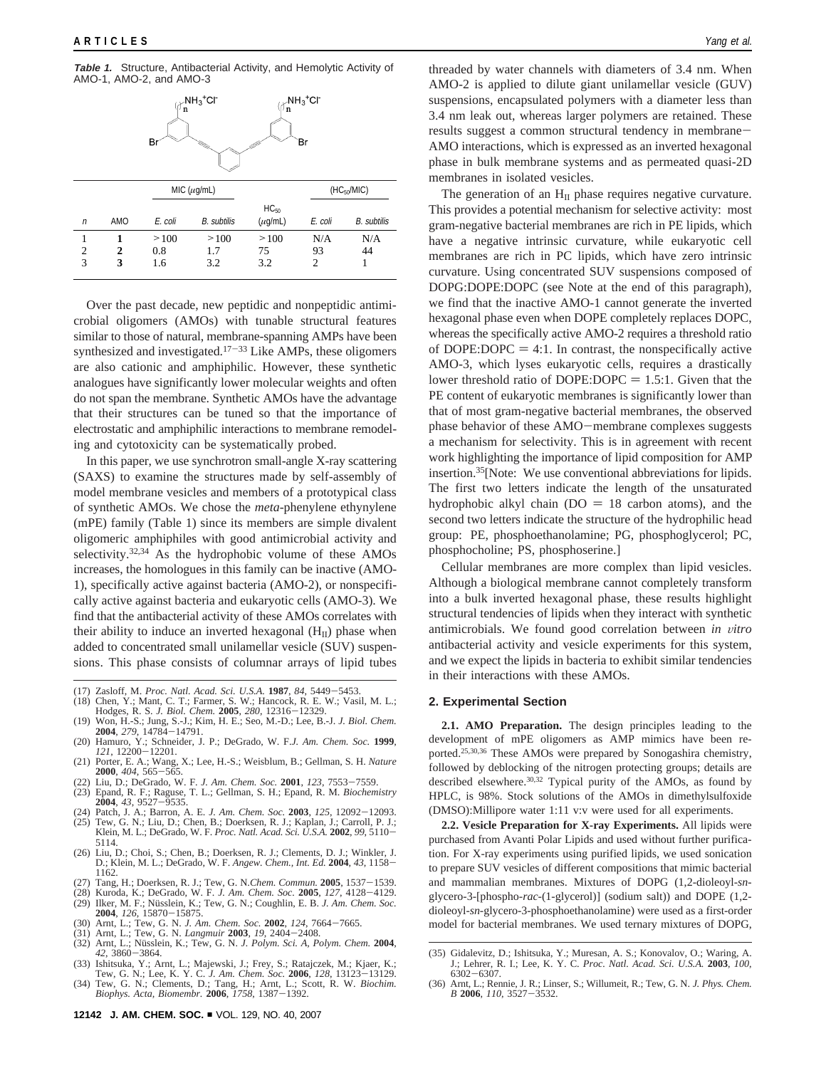**Table 1.** Structure, Antibacterial Activity, and Hemolytic Activity of AMO-1, AMO-2, and AMO-3



Over the past decade, new peptidic and nonpeptidic antimicrobial oligomers (AMOs) with tunable structural features similar to those of natural, membrane-spanning AMPs have been synthesized and investigated.<sup>17-33</sup> Like AMPs, these oligomers are also cationic and amphiphilic. However, these synthetic analogues have significantly lower molecular weights and often do not span the membrane. Synthetic AMOs have the advantage that their structures can be tuned so that the importance of electrostatic and amphiphilic interactions to membrane remodeling and cytotoxicity can be systematically probed.

In this paper, we use synchrotron small-angle X-ray scattering (SAXS) to examine the structures made by self-assembly of model membrane vesicles and members of a prototypical class of synthetic AMOs. We chose the *meta*-phenylene ethynylene (mPE) family (Table 1) since its members are simple divalent oligomeric amphiphiles with good antimicrobial activity and selectivity.<sup>32,34</sup> As the hydrophobic volume of these AMOs increases, the homologues in this family can be inactive (AMO-1), specifically active against bacteria (AMO-2), or nonspecifically active against bacteria and eukaryotic cells (AMO-3). We find that the antibacterial activity of these AMOs correlates with their ability to induce an inverted hexagonal  $(H_{II})$  phase when added to concentrated small unilamellar vesicle (SUV) suspensions. This phase consists of columnar arrays of lipid tubes

- (17) Zasloff, M. *Proc. Natl. Acad. Sci. U.S.A.* **<sup>1987</sup>**, *<sup>84</sup>*, 5449-5453. (18) Chen, Y.; Mant, C. T.; Farmer, S. W.; Hancock, R. E. W.; Vasil, M. L.;
- Hodges, R. S. *J. Biol. Chem.* **<sup>2005</sup>**, *<sup>280</sup>*, 12316-12329.
- (19) Won, H.-S.; Jung, S.-J.; Kim, H. E.; Seo, M.-D.; Lee, B.-J. *J. Biol. Chem.*
- **2004**, *279*, 14784-14791.<br>
(20) Hamuro, Y.; Schneider, J. P.; DeGrado, W. F.*J. Am. Chem. Soc.* **1999**, *121*, 12200-12201.<br>
(21) Porter. E. A.: Wang. X.: Lee. H.-S.: Weisblum. B.: Gellman. S. H. *Nature*
- (21) Porter, E. A.; Wang, X.; Lee, H.-S.; Weisblum, B.; Gellman, S. H. *Nature*
- 
- **2000**, 404, 565–565.<br>
(22) Liu, D.; DeGrado, W. F. *J. Am. Chem. Soc.* **2001**, 123, 7553–7559.<br>
(23) Epand, R. F.; Raguse, T. L.; Gellman, S. H.; Epand, R. M. *Biochemistry*<br> **2004**, 43, 9527–9535.<br>
(24) Patch. J. A.: Bar
- (24) Patch, J. A.; Barron, A. E. *J. Am. Chem. Soc.* **<sup>2003</sup>**, *<sup>125</sup>*, 12092-12093. (25) Tew, G. N.; Liu, D.; Chen, B.; Doerksen, R. J.; Kaplan, J.; Carroll, P. J.;
- Klein, M. L.; DeGrado, W. F. *Proc. Natl. Acad. Sci. U.S.A.* **<sup>2002</sup>**, *<sup>99</sup>*, 5110- 5114.
- (26) Liu, D.; Choi, S.; Chen, B.; Doerksen, R. J.; Clements, D. J.; Winkler, J. D.; Klein, M. L.; DeGrado, W. F. *Angew. Chem., Int. Ed.* **<sup>2004</sup>**, *<sup>43</sup>*, 1158- 1162.
- (27) Tang, H.; Doerksen, R. J.; Tew, G. N.*Chem. Commun.* **<sup>2005</sup>**, 1537-1539.
- (28) Kuroda, K.; DeGrado, W. F. *J. Am. Chem. Soc.* **<sup>2005</sup>**, *<sup>127</sup>*, 4128-4129. (29) Ilker, M. F.; Nüsslein, K.; Tew, G. N.; Coughlin, E. B. *J. Am. Chem. Soc.*<br>**2004**, 126, 15870–15875.
- **<sup>2004</sup>**, *<sup>126</sup>*, 15870-15875. (30) Arnt, L.; Tew, G. N. *J. Am. Chem. Soc.* **<sup>2002</sup>**, *<sup>124</sup>*, 7664-7665.
- 
- (31) Arnt, L.; Tew, G. N. *Langmuir* **2003**, 19, 2404–2408.<br>(32) Arnt, L.; Nüsslein, K.; Tew, G. N. *J. Polym. Sci. A, Polym. Chem.* **2004**,
- *<sup>42</sup>*, 3860-3864. (33) Ishitsuka, Y.; Arnt, L.; Majewski, J.; Frey, S.; Ratajczek, M.; Kjaer, K.;
- Tew, G. N.; Lee, K. Y. C. J. Am. Chem. Soc. **2006**, 128, 13123–13129.<br>(34) Tew, G. N.; Clements, D.; Tang, H.; Arnt, L.; Scott, R. W. *Biochim.*<br>*Biophys. Acta, Biomembr.* **2006**, 1758, 1387–1392.

threaded by water channels with diameters of 3.4 nm. When AMO-2 is applied to dilute giant unilamellar vesicle (GUV) suspensions, encapsulated polymers with a diameter less than 3.4 nm leak out, whereas larger polymers are retained. These results suggest a common structural tendency in membrane-AMO interactions, which is expressed as an inverted hexagonal phase in bulk membrane systems and as permeated quasi-2D membranes in isolated vesicles.

The generation of an  $H<sub>II</sub>$  phase requires negative curvature. This provides a potential mechanism for selective activity: most gram-negative bacterial membranes are rich in PE lipids, which have a negative intrinsic curvature, while eukaryotic cell membranes are rich in PC lipids, which have zero intrinsic curvature. Using concentrated SUV suspensions composed of DOPG:DOPE:DOPC (see Note at the end of this paragraph), we find that the inactive AMO-1 cannot generate the inverted hexagonal phase even when DOPE completely replaces DOPC, whereas the specifically active AMO-2 requires a threshold ratio of DOPE:DOPC  $= 4:1$ . In contrast, the nonspecifically active AMO-3, which lyses eukaryotic cells, requires a drastically lower threshold ratio of DOPE:DOPC  $= 1.5:1$ . Given that the PE content of eukaryotic membranes is significantly lower than that of most gram-negative bacterial membranes, the observed phase behavior of these AMO-membrane complexes suggests a mechanism for selectivity. This is in agreement with recent work highlighting the importance of lipid composition for AMP insertion.35[Note: We use conventional abbreviations for lipids. The first two letters indicate the length of the unsaturated hydrophobic alkyl chain ( $DO = 18$  carbon atoms), and the second two letters indicate the structure of the hydrophilic head group: PE, phosphoethanolamine; PG, phosphoglycerol; PC, phosphocholine; PS, phosphoserine.]

Cellular membranes are more complex than lipid vesicles. Although a biological membrane cannot completely transform into a bulk inverted hexagonal phase, these results highlight structural tendencies of lipids when they interact with synthetic antimicrobials. We found good correlation between *in vitro* antibacterial activity and vesicle experiments for this system, and we expect the lipids in bacteria to exhibit similar tendencies in their interactions with these AMOs.

### **2. Experimental Section**

**2.1. AMO Preparation.** The design principles leading to the development of mPE oligomers as AMP mimics have been reported.25,30,36 These AMOs were prepared by Sonogashira chemistry, followed by deblocking of the nitrogen protecting groups; details are described elsewhere.<sup>30,32</sup> Typical purity of the AMOs, as found by HPLC, is 98%. Stock solutions of the AMOs in dimethylsulfoxide (DMSO):Millipore water 1:11 v:v were used for all experiments.

**2.2. Vesicle Preparation for X-ray Experiments.** All lipids were purchased from Avanti Polar Lipids and used without further purification. For X-ray experiments using purified lipids, we used sonication to prepare SUV vesicles of different compositions that mimic bacterial and mammalian membranes. Mixtures of DOPG (1,2-dioleoyl-*sn*glycero-3-[phospho-*rac*-(1-glycerol)] (sodium salt)) and DOPE (1,2 dioleoyl-*sn*-glycero-3-phosphoethanolamine) were used as a first-order model for bacterial membranes. We used ternary mixtures of DOPG,

<sup>(35)</sup> Gidalevitz, D.; Ishitsuka, Y.; Muresan, A. S.; Konovalov, O.; Waring, A. J.; Lehrer, R. I.; Lee, K. Y. C. *Proc. Natl. Acad. Sci. U.S.A.* **2003**, *100*, <sup>6302</sup>-6307. (36) Arnt, L.; Rennie, J. R.; Linser, S.; Willumeit, R.; Tew, G. N. *J. Phys. Chem.*

*<sup>B</sup>* **<sup>2006</sup>**, *<sup>110</sup>*, 3527-3532.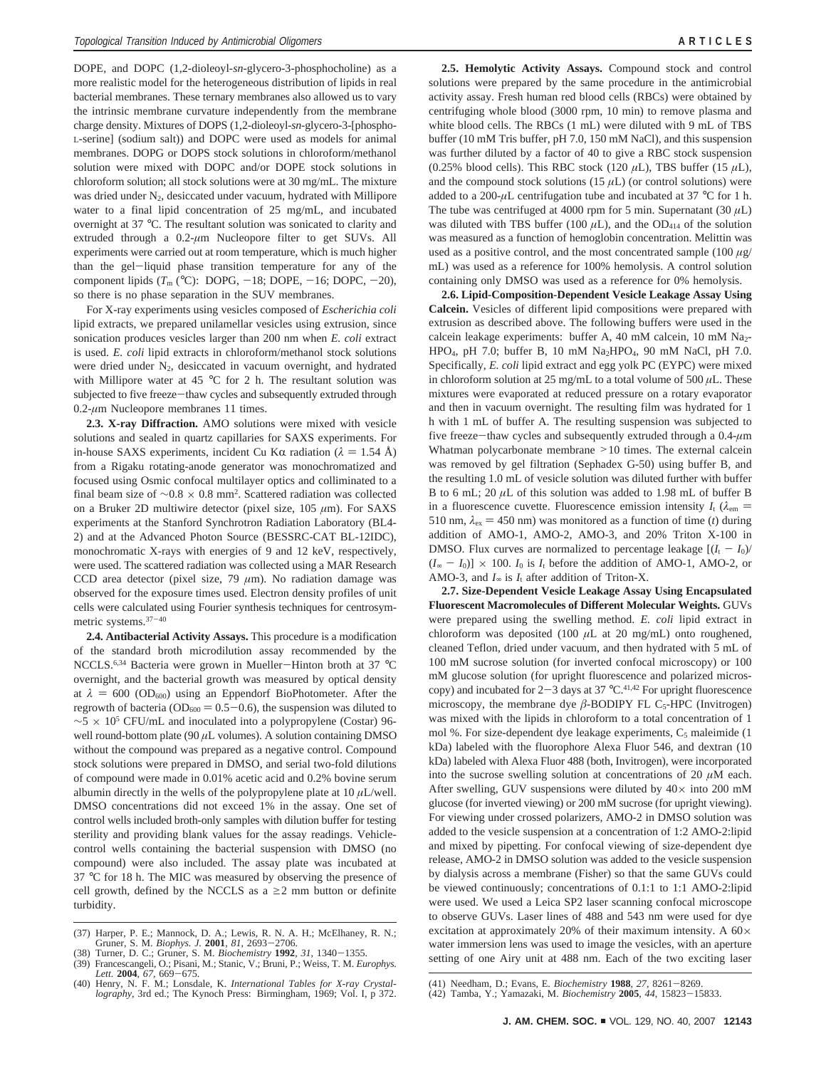DOPE, and DOPC (1,2-dioleoyl-*sn*-glycero-3-phosphocholine) as a more realistic model for the heterogeneous distribution of lipids in real bacterial membranes. These ternary membranes also allowed us to vary the intrinsic membrane curvature independently from the membrane charge density. Mixtures of DOPS (1,2-dioleoyl-*sn*-glycero-3-[phospho-L-serine] (sodium salt)) and DOPC were used as models for animal membranes. DOPG or DOPS stock solutions in chloroform/methanol solution were mixed with DOPC and/or DOPE stock solutions in chloroform solution; all stock solutions were at 30 mg/mL. The mixture was dried under  $N_2$ , desiccated under vacuum, hydrated with Millipore water to a final lipid concentration of 25 mg/mL, and incubated overnight at 37 °C. The resultant solution was sonicated to clarity and extruded through a 0.2-*µ*m Nucleopore filter to get SUVs. All experiments were carried out at room temperature, which is much higher than the gel-liquid phase transition temperature for any of the component lipids  $(T_m (°C)$ : DOPG,  $-18$ ; DOPE,  $-16$ ; DOPC,  $-20$ ), so there is no phase separation in the SUV membranes.

For X-ray experiments using vesicles composed of *Escherichia coli* lipid extracts, we prepared unilamellar vesicles using extrusion, since sonication produces vesicles larger than 200 nm when *E. coli* extract is used. *E. coli* lipid extracts in chloroform/methanol stock solutions were dried under  $N_2$ , desiccated in vacuum overnight, and hydrated with Millipore water at 45 °C for 2 h. The resultant solution was subjected to five freeze-thaw cycles and subsequently extruded through 0.2-*µ*m Nucleopore membranes 11 times.

**2.3. X-ray Diffraction.** AMO solutions were mixed with vesicle solutions and sealed in quartz capillaries for SAXS experiments. For in-house SAXS experiments, incident Cu K $\alpha$  radiation ( $\lambda = 1.54$  Å) from a Rigaku rotating-anode generator was monochromatized and focused using Osmic confocal multilayer optics and colliminated to a final beam size of  $\sim 0.8 \times 0.8$  mm<sup>2</sup>. Scattered radiation was collected on a Bruker 2D multiwire detector (pixel size, 105 *µ*m). For SAXS experiments at the Stanford Synchrotron Radiation Laboratory (BL4- 2) and at the Advanced Photon Source (BESSRC-CAT BL-12IDC), monochromatic X-rays with energies of 9 and 12 keV, respectively, were used. The scattered radiation was collected using a MAR Research CCD area detector (pixel size, 79 *µ*m). No radiation damage was observed for the exposure times used. Electron density profiles of unit cells were calculated using Fourier synthesis techniques for centrosymmetric systems.37-<sup>40</sup>

**2.4. Antibacterial Activity Assays.** This procedure is a modification of the standard broth microdilution assay recommended by the NCCLS.6,34 Bacteria were grown in Mueller-Hinton broth at 37 °<sup>C</sup> overnight, and the bacterial growth was measured by optical density at  $\lambda = 600$  (OD<sub>600</sub>) using an Eppendorf BioPhotometer. After the regrowth of bacteria ( $OD_{600} = 0.5-0.6$ ), the suspension was diluted to  $~\sim$ 5 × 10<sup>5</sup> CFU/mL and inoculated into a polypropylene (Costar) 96well round-bottom plate (90 *µ*L volumes). A solution containing DMSO without the compound was prepared as a negative control. Compound stock solutions were prepared in DMSO, and serial two-fold dilutions of compound were made in 0.01% acetic acid and 0.2% bovine serum albumin directly in the wells of the polypropylene plate at  $10 \mu L/well$ . DMSO concentrations did not exceed 1% in the assay. One set of control wells included broth-only samples with dilution buffer for testing sterility and providing blank values for the assay readings. Vehiclecontrol wells containing the bacterial suspension with DMSO (no compound) were also included. The assay plate was incubated at 37 °C for 18 h. The MIC was measured by observing the presence of cell growth, defined by the NCCLS as a  $\geq$  2 mm button or definite turbidity.

**2.5. Hemolytic Activity Assays.** Compound stock and control solutions were prepared by the same procedure in the antimicrobial activity assay. Fresh human red blood cells (RBCs) were obtained by centrifuging whole blood (3000 rpm, 10 min) to remove plasma and white blood cells. The RBCs (1 mL) were diluted with 9 mL of TBS buffer (10 mM Tris buffer, pH 7.0, 150 mM NaCl), and this suspension was further diluted by a factor of 40 to give a RBC stock suspension (0.25% blood cells). This RBC stock (120  $\mu$ L), TBS buffer (15  $\mu$ L), and the compound stock solutions (15 *µ*L) (or control solutions) were added to a 200- $\mu$ L centrifugation tube and incubated at 37 °C for 1 h. The tube was centrifuged at 4000 rpm for 5 min. Supernatant  $(30 \mu L)$ was diluted with TBS buffer (100  $\mu$ L), and the OD<sub>414</sub> of the solution was measured as a function of hemoglobin concentration. Melittin was used as a positive control, and the most concentrated sample (100 *µ*g/ mL) was used as a reference for 100% hemolysis. A control solution containing only DMSO was used as a reference for 0% hemolysis.

**2.6. Lipid-Composition-Dependent Vesicle Leakage Assay Using Calcein.** Vesicles of different lipid compositions were prepared with extrusion as described above. The following buffers were used in the calcein leakage experiments: buffer A, 40 mM calcein, 10 mM  $Na<sub>2</sub>$ -HPO<sub>4</sub>, pH 7.0; buffer B, 10 mM Na<sub>2</sub>HPO<sub>4</sub>, 90 mM NaCl, pH 7.0. Specifically, *E. coli* lipid extract and egg yolk PC (EYPC) were mixed in chloroform solution at 25 mg/mL to a total volume of 500  $\mu$ L. These mixtures were evaporated at reduced pressure on a rotary evaporator and then in vacuum overnight. The resulting film was hydrated for 1 h with 1 mL of buffer A. The resulting suspension was subjected to five freeze-thaw cycles and subsequently extruded through a 0.4-*µ*<sup>m</sup> Whatman polycarbonate membrane >10 times. The external calcein was removed by gel filtration (Sephadex G-50) using buffer B, and the resulting 1.0 mL of vesicle solution was diluted further with buffer B to 6 mL; 20  $\mu$ L of this solution was added to 1.98 mL of buffer B in a fluorescence cuvette. Fluorescence emission intensity  $I_t$  ( $\lambda_{em}$ ) 510 nm,  $\lambda_{\text{ex}}$  = 450 nm) was monitored as a function of time (*t*) during addition of AMO-1, AMO-2, AMO-3, and 20% Triton X-100 in DMSO. Flux curves are normalized to percentage leakage  $[(I_t - I_0)/$  $(I_{\infty} - I_0] \times 100$ .  $I_0$  is  $I_t$  before the addition of AMO-1, AMO-2, or AMO-3, and  $I_\infty$  is  $I_t$  after addition of Triton-X.

**2.7. Size-Dependent Vesicle Leakage Assay Using Encapsulated Fluorescent Macromolecules of Different Molecular Weights.** GUVs were prepared using the swelling method. *E. coli* lipid extract in chloroform was deposited (100  $\mu$ L at 20 mg/mL) onto roughened, cleaned Teflon, dried under vacuum, and then hydrated with 5 mL of 100 mM sucrose solution (for inverted confocal microscopy) or 100 mM glucose solution (for upright fluorescence and polarized microscopy) and incubated for  $2-3$  days at 37 °C.<sup>41,42</sup> For upright fluorescence microscopy, the membrane dye  $\beta$ -BODIPY FL C<sub>5</sub>-HPC (Invitrogen) was mixed with the lipids in chloroform to a total concentration of 1 mol %. For size-dependent dye leakage experiments,  $C_5$  maleimide (1) kDa) labeled with the fluorophore Alexa Fluor 546, and dextran (10 kDa) labeled with Alexa Fluor 488 (both, Invitrogen), were incorporated into the sucrose swelling solution at concentrations of 20  $\mu$ M each. After swelling, GUV suspensions were diluted by  $40 \times$  into 200 mM glucose (for inverted viewing) or 200 mM sucrose (for upright viewing). For viewing under crossed polarizers, AMO-2 in DMSO solution was added to the vesicle suspension at a concentration of 1:2 AMO-2:lipid and mixed by pipetting. For confocal viewing of size-dependent dye release, AMO-2 in DMSO solution was added to the vesicle suspension by dialysis across a membrane (Fisher) so that the same GUVs could be viewed continuously; concentrations of 0.1:1 to 1:1 AMO-2:lipid were used. We used a Leica SP2 laser scanning confocal microscope to observe GUVs. Laser lines of 488 and 543 nm were used for dye excitation at approximately 20% of their maximum intensity. A 60× water immersion lens was used to image the vesicles, with an aperture setting of one Airy unit at 488 nm. Each of the two exciting laser

<sup>(37)</sup> Harper, P. E.; Mannock, D. A.; Lewis, R. N. A. H.; McElhaney, R. N.; Gruner, S. M. *Biophys. J. 2001*, *81*, 2693-2706.<br>(38) Turner. D. C.: Gruner. S. M. *Biochemistry* 1992. 31. 1340-1355.

<sup>(38)</sup> Turner, D. C.; Gruner, S. M. *Biochemistry* **<sup>1992</sup>**, *<sup>31</sup>*, 1340-1355. (39) Francescangeli, O.; Pisani, M.; Stanic, V.; Bruni, P.; Weiss, T. M. *Europhys.*

*Lett.* **<sup>2004</sup>**, *<sup>67</sup>*, 669-675. (40) Henry, N. F. M.; Lonsdale, K. *International Tables for X-ray Crystal-*

*lography*, 3rd ed.; The Kynoch Press: Birmingham, 1969; Vol. I, p 372.

<sup>(41)</sup> Needham, D.; Evans, E. *Biochemistry* **<sup>1988</sup>**, *<sup>27</sup>*, 8261-8269. (42) Tamba, Y.; Yamazaki, M. *Biochemistry* **<sup>2005</sup>**, *<sup>44</sup>*, 15823-15833.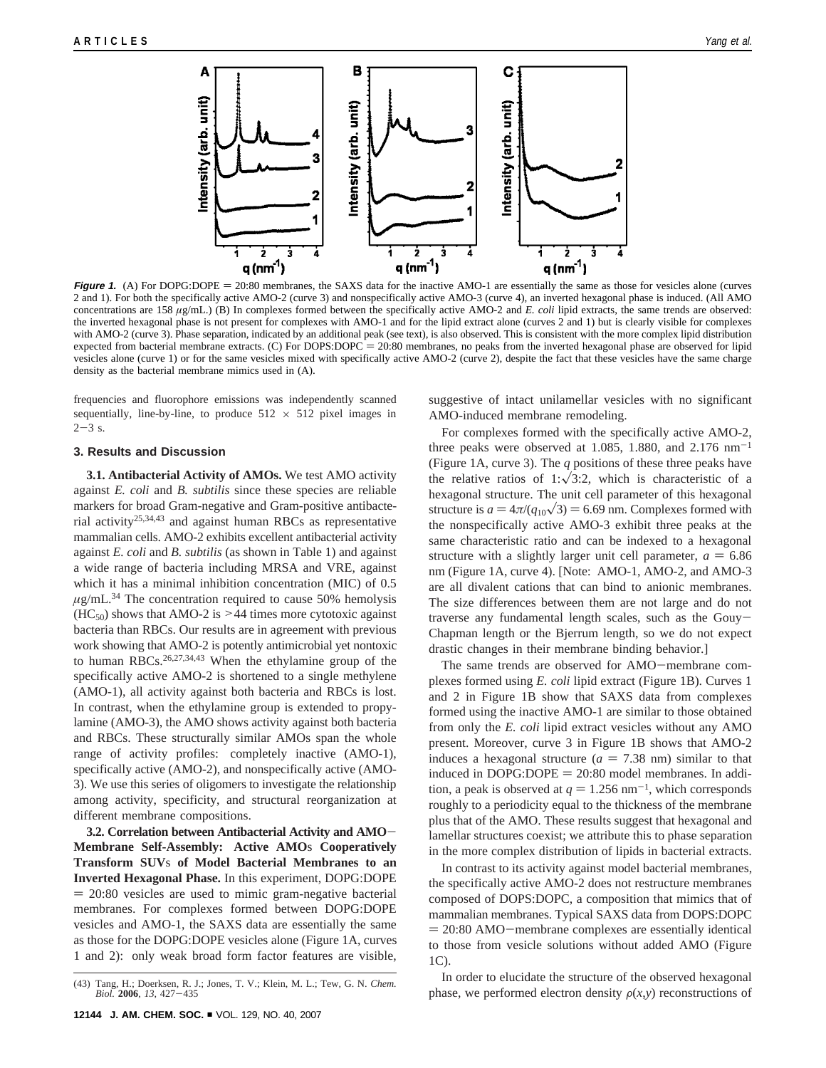

**Figure 1.** (A) For DOPG:DOPE = 20:80 membranes, the SAXS data for the inactive AMO-1 are essentially the same as those for vesicles alone (curves 2 and 1). For both the specifically active AMO-2 (curve 3) and nonspecifically active AMO-3 (curve 4), an inverted hexagonal phase is induced. (All AMO concentrations are 158 *µ*g/mL.) (B) In complexes formed between the specifically active AMO-2 and *E. coli* lipid extracts, the same trends are observed: the inverted hexagonal phase is not present for complexes with AMO-1 and for the lipid extract alone (curves 2 and 1) but is clearly visible for complexes with AMO-2 (curve 3). Phase separation, indicated by an additional peak (see text), is also observed. This is consistent with the more complex lipid distribution expected from bacterial membrane extracts. (C) For DOPS:DOPC = 20:80 membranes, no peaks from the inverted hexagonal phase are observed for lipid vesicles alone (curve 1) or for the same vesicles mixed with specifically active AMO-2 (curve 2), despite the fact that these vesicles have the same charge density as the bacterial membrane mimics used in (A).

frequencies and fluorophore emissions was independently scanned sequentially, line-by-line, to produce  $512 \times 512$  pixel images in  $2 - 3$  s.

## **3. Results and Discussion**

**3.1. Antibacterial Activity of AMOs.** We test AMO activity against *E. coli* and *B. subtilis* since these species are reliable markers for broad Gram-negative and Gram-positive antibacterial activity25,34,43 and against human RBCs as representative mammalian cells. AMO-2 exhibits excellent antibacterial activity against *E. coli* and *B. subtilis* (as shown in Table 1) and against a wide range of bacteria including MRSA and VRE, against which it has a minimal inhibition concentration (MIC) of 0.5  $\mu$ g/mL.<sup>34</sup> The concentration required to cause 50% hemolysis  $(HC<sub>50</sub>)$  shows that AMO-2 is >44 times more cytotoxic against bacteria than RBCs. Our results are in agreement with previous work showing that AMO-2 is potently antimicrobial yet nontoxic to human RBCs.26,27,34,43 When the ethylamine group of the specifically active AMO-2 is shortened to a single methylene (AMO-1), all activity against both bacteria and RBCs is lost. In contrast, when the ethylamine group is extended to propylamine (AMO-3), the AMO shows activity against both bacteria and RBCs. These structurally similar AMOs span the whole range of activity profiles: completely inactive (AMO-1), specifically active (AMO-2), and nonspecifically active (AMO-3). We use this series of oligomers to investigate the relationship among activity, specificity, and structural reorganization at different membrane compositions.

**3.2. Correlation between Antibacterial Activity and AMO**-**Membrane Self-Assembly: Active AMO**s **Cooperatively Transform SUV**s **of Model Bacterial Membranes to an Inverted Hexagonal Phase.** In this experiment, DOPG:DOPE  $= 20:80$  vesicles are used to mimic gram-negative bacterial membranes. For complexes formed between DOPG:DOPE vesicles and AMO-1, the SAXS data are essentially the same as those for the DOPG:DOPE vesicles alone (Figure 1A, curves 1 and 2): only weak broad form factor features are visible, suggestive of intact unilamellar vesicles with no significant AMO-induced membrane remodeling.

For complexes formed with the specifically active AMO-2, three peaks were observed at 1.085, 1.880, and  $2.176$  nm<sup>-1</sup> (Figure 1A, curve 3). The *q* positions of these three peaks have the relative ratios of 1: $\sqrt{3:2}$ , which is characteristic of a hexagonal structure. The unit cell parameter of this hexagonal structure is  $a = 4\pi/(q_{10}\sqrt{3}) = 6.69$  nm. Complexes formed with the nonspecifically active AMO-3 exhibit three peaks at the same characteristic ratio and can be indexed to a hexagonal structure with a slightly larger unit cell parameter,  $a = 6.86$ nm (Figure 1A, curve 4). [Note: AMO-1, AMO-2, and AMO-3 are all divalent cations that can bind to anionic membranes. The size differences between them are not large and do not traverse any fundamental length scales, such as the Gouy-Chapman length or the Bjerrum length, so we do not expect drastic changes in their membrane binding behavior.]

The same trends are observed for AMO-membrane complexes formed using *E. coli* lipid extract (Figure 1B). Curves 1 and 2 in Figure 1B show that SAXS data from complexes formed using the inactive AMO-1 are similar to those obtained from only the *E. coli* lipid extract vesicles without any AMO present. Moreover, curve 3 in Figure 1B shows that AMO-2 induces a hexagonal structure  $(a = 7.38 \text{ nm})$  similar to that induced in  $DOPG:DOPE = 20:80$  model membranes. In addition, a peak is observed at  $q = 1.256$  nm<sup>-1</sup>, which corresponds roughly to a periodicity equal to the thickness of the membrane plus that of the AMO. These results suggest that hexagonal and lamellar structures coexist; we attribute this to phase separation in the more complex distribution of lipids in bacterial extracts.

In contrast to its activity against model bacterial membranes, the specifically active AMO-2 does not restructure membranes composed of DOPS:DOPC, a composition that mimics that of mammalian membranes. Typical SAXS data from DOPS:DOPC ) 20:80 AMO-membrane complexes are essentially identical to those from vesicle solutions without added AMO (Figure 1C).

In order to elucidate the structure of the observed hexagonal (43) Tang, H.; Doerksen, R. J.; Jones, T. V.; Klein, M. L.; Tew, G. N. *Chem.* In other to entertable the structure of the observed nexagonal *Biol.* **2006**, 13, 427–435 **phase, we performed electron density**  $\rho(x, y)$  rec

*Biol.* **<sup>2006</sup>**, *<sup>13</sup>*, 427-<sup>435</sup>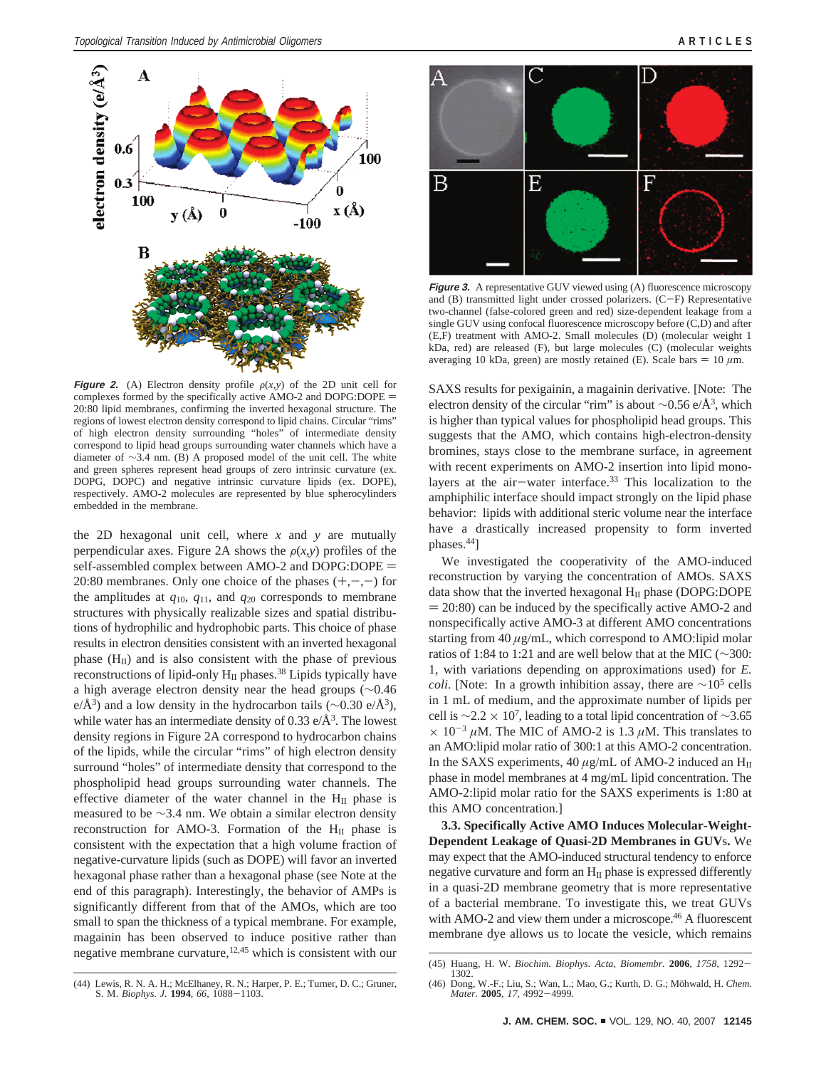

**Figure 2.** (A) Electron density profile  $\rho(x,y)$  of the 2D unit cell for complexes formed by the specifically active AMO-2 and DOPG:DOPE = 20:80 lipid membranes, confirming the inverted hexagonal structure. The regions of lowest electron density correspond to lipid chains. Circular "rims" of high electron density surrounding "holes" of intermediate density correspond to lipid head groups surrounding water channels which have a diameter of ∼3.4 nm. (B) A proposed model of the unit cell. The white and green spheres represent head groups of zero intrinsic curvature (ex. DOPG, DOPC) and negative intrinsic curvature lipids (ex. DOPE), respectively. AMO-2 molecules are represented by blue spherocylinders embedded in the membrane.

the 2D hexagonal unit cell, where  $x$  and  $y$  are mutually perpendicular axes. Figure 2A shows the  $\rho(x, y)$  profiles of the self-assembled complex between AMO-2 and DOPG:DOPE = 20:80 membranes. Only one choice of the phases  $(+,-,-)$  for the amplitudes at  $q_{10}$ ,  $q_{11}$ , and  $q_{20}$  corresponds to membrane structures with physically realizable sizes and spatial distributions of hydrophilic and hydrophobic parts. This choice of phase results in electron densities consistent with an inverted hexagonal phase  $(H<sub>II</sub>)$  and is also consistent with the phase of previous reconstructions of lipid-only  $H<sub>II</sub>$  phases.<sup>38</sup> Lipids typically have a high average electron density near the head groups (∼0.46 e/Å<sup>3</sup>) and a low density in the hydrocarbon tails ( $\sim$ 0.30 e/Å<sup>3</sup>), while water has an intermediate density of 0.33  $e/\AA$ <sup>3</sup>. The lowest density regions in Figure 2A correspond to hydrocarbon chains of the lipids, while the circular "rims" of high electron density surround "holes" of intermediate density that correspond to the phospholipid head groups surrounding water channels. The effective diameter of the water channel in the  $H_{II}$  phase is measured to be ∼3.4 nm. We obtain a similar electron density reconstruction for AMO-3. Formation of the  $H<sub>II</sub>$  phase is consistent with the expectation that a high volume fraction of negative-curvature lipids (such as DOPE) will favor an inverted hexagonal phase rather than a hexagonal phase (see Note at the end of this paragraph). Interestingly, the behavior of AMPs is significantly different from that of the AMOs, which are too small to span the thickness of a typical membrane. For example, magainin has been observed to induce positive rather than negative membrane curvature, $12,45$  which is consistent with our



**Figure 3.** A representative GUV viewed using (A) fluorescence microscopy and  $(B)$  transmitted light under crossed polarizers.  $(C-F)$  Representative two-channel (false-colored green and red) size-dependent leakage from a single GUV using confocal fluorescence microscopy before (C,D) and after (E,F) treatment with AMO-2. Small molecules (D) (molecular weight 1 kDa, red) are released (F), but large molecules (C) (molecular weights averaging 10 kDa, green) are mostly retained (E). Scale bars  $= 10 \mu m$ .

SAXS results for pexigainin, a magainin derivative. [Note: The electron density of the circular "rim" is about ∼0.56 e/Å3, which is higher than typical values for phospholipid head groups. This suggests that the AMO, which contains high-electron-density bromines, stays close to the membrane surface, in agreement with recent experiments on AMO-2 insertion into lipid monolayers at the air-water interface.<sup>33</sup> This localization to the amphiphilic interface should impact strongly on the lipid phase behavior: lipids with additional steric volume near the interface have a drastically increased propensity to form inverted phases.44]

We investigated the cooperativity of the AMO-induced reconstruction by varying the concentration of AMOs. SAXS data show that the inverted hexagonal  $H_{II}$  phase (DOPG:DOPE  $= 20:80$ ) can be induced by the specifically active AMO-2 and nonspecifically active AMO-3 at different AMO concentrations starting from 40  $\mu$ g/mL, which correspond to AMO:lipid molar ratios of 1:84 to 1:21 and are well below that at the MIC (∼300: 1, with variations depending on approximations used) for *E. coli*. [Note: In a growth inhibition assay, there are  $\sim$ 10<sup>5</sup> cells in 1 mL of medium, and the approximate number of lipids per cell is  $\sim$ 2.2 × 10<sup>7</sup>, leading to a total lipid concentration of  $\sim$ 3.65  $\times$  10<sup>-3</sup>  $\mu$ M. The MIC of AMO-2 is 1.3  $\mu$ M. This translates to an AMO:lipid molar ratio of 300:1 at this AMO-2 concentration. In the SAXS experiments,  $40 \mu g/mL$  of AMO-2 induced an  $H<sub>II</sub>$ phase in model membranes at 4 mg/mL lipid concentration. The AMO-2:lipid molar ratio for the SAXS experiments is 1:80 at this AMO concentration.]

**3.3. Specifically Active AMO Induces Molecular-Weight-Dependent Leakage of Quasi-2D Membranes in GUV**s**.** We may expect that the AMO-induced structural tendency to enforce negative curvature and form an  $H<sub>II</sub>$  phase is expressed differently in a quasi-2D membrane geometry that is more representative of a bacterial membrane. To investigate this, we treat GUVs with AMO-2 and view them under a microscope.<sup>46</sup> A fluorescent membrane dye allows us to locate the vesicle, which remains

<sup>(44)</sup> Lewis, R. N. A. H.; McElhaney, R. N.; Harper, P. E.; Turner, D. C.; Gruner, S. M. *Biophys. J.* **<sup>1994</sup>**, *<sup>66</sup>*, 1088-1103.

<sup>(45)</sup> Huang, H. W. *Biochim. Biophys. Acta, Biomembr.* **<sup>2006</sup>**, *<sup>1758</sup>*, 1292- 1302.

<sup>(46)</sup> Dong, W.-F.; Liu, S.; Wan, L.; Mao, G.; Kurth, D. G.; Möhwald, H. *Chem. Mater.* **<sup>2005</sup>**, *<sup>17</sup>*, 4992-4999.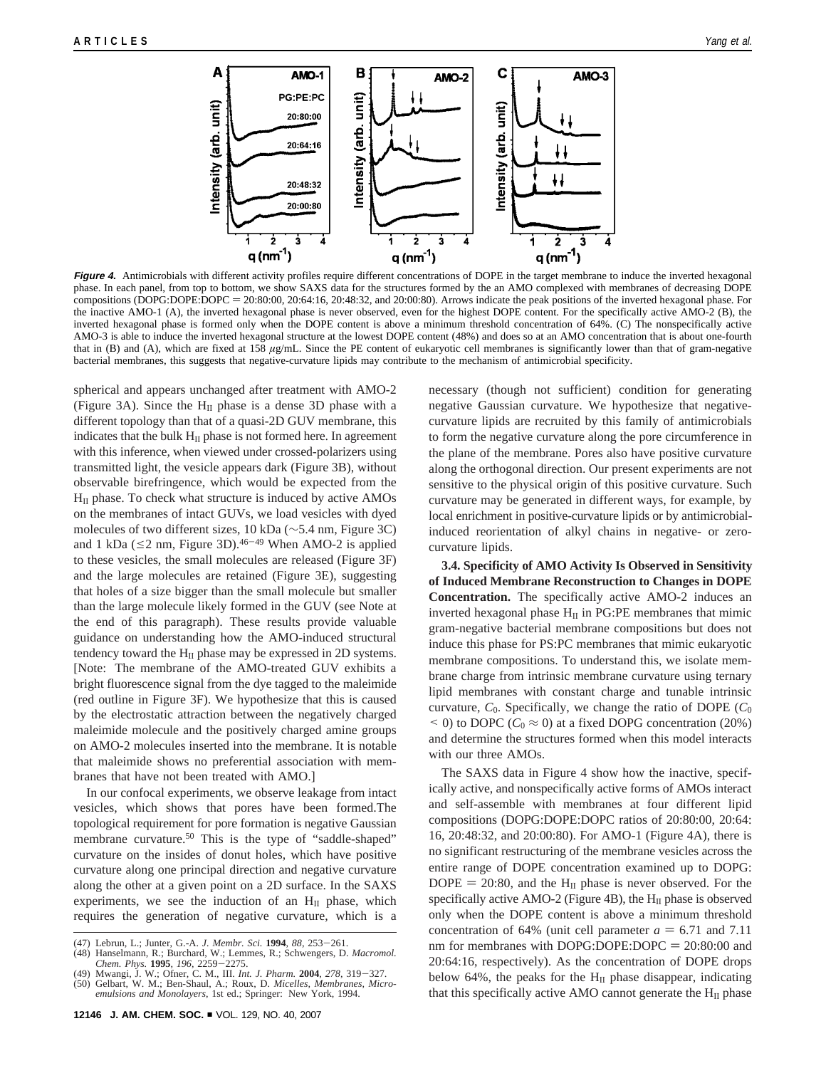

Figure 4. Antimicrobials with different activity profiles require different concentrations of DOPE in the target membrane to induce the inverted hexagonal phase. In each panel, from top to bottom, we show SAXS data for the structures formed by the an AMO complexed with membranes of decreasing DOPE compositions (DOPG:DOPE:DOPC = 20:80:00, 20:64:16, 20:48:32, and 20:00:80). Arrows indicate the peak positions of the inverted hexagonal phase. For the inactive AMO-1 (A), the inverted hexagonal phase is never observed, even for the highest DOPE content. For the specifically active AMO-2 (B), the inverted hexagonal phase is formed only when the DOPE content is above a minimum threshold concentration of 64%. (C) The nonspecifically active AMO-3 is able to induce the inverted hexagonal structure at the lowest DOPE content (48%) and does so at an AMO concentration that is about one-fourth that in (B) and (A), which are fixed at 158 *µ*g/mL. Since the PE content of eukaryotic cell membranes is significantly lower than that of gram-negative bacterial membranes, this suggests that negative-curvature lipids may contribute to the mechanism of antimicrobial specificity.

spherical and appears unchanged after treatment with AMO-2 (Figure 3A). Since the  $H<sub>II</sub>$  phase is a dense 3D phase with a different topology than that of a quasi-2D GUV membrane, this indicates that the bulk  $H<sub>II</sub>$  phase is not formed here. In agreement with this inference, when viewed under crossed-polarizers using transmitted light, the vesicle appears dark (Figure 3B), without observable birefringence, which would be expected from the  $H<sub>II</sub>$  phase. To check what structure is induced by active AMOs on the membranes of intact GUVs, we load vesicles with dyed molecules of two different sizes, 10 kDa (∼5.4 nm, Figure 3C) and 1 kDa ( $\leq$ 2 nm, Figure 3D).<sup>46-49</sup> When AMO-2 is applied to these vesicles, the small molecules are released (Figure 3F) and the large molecules are retained (Figure 3E), suggesting that holes of a size bigger than the small molecule but smaller than the large molecule likely formed in the GUV (see Note at the end of this paragraph). These results provide valuable guidance on understanding how the AMO-induced structural tendency toward the  $H_{II}$  phase may be expressed in 2D systems. [Note: The membrane of the AMO-treated GUV exhibits a bright fluorescence signal from the dye tagged to the maleimide (red outline in Figure 3F). We hypothesize that this is caused by the electrostatic attraction between the negatively charged maleimide molecule and the positively charged amine groups on AMO-2 molecules inserted into the membrane. It is notable that maleimide shows no preferential association with membranes that have not been treated with AMO.]

In our confocal experiments, we observe leakage from intact vesicles, which shows that pores have been formed.The topological requirement for pore formation is negative Gaussian membrane curvature.<sup>50</sup> This is the type of "saddle-shaped" curvature on the insides of donut holes, which have positive curvature along one principal direction and negative curvature along the other at a given point on a 2D surface. In the SAXS experiments, we see the induction of an  $H<sub>II</sub>$  phase, which requires the generation of negative curvature, which is a necessary (though not sufficient) condition for generating negative Gaussian curvature. We hypothesize that negativecurvature lipids are recruited by this family of antimicrobials to form the negative curvature along the pore circumference in the plane of the membrane. Pores also have positive curvature along the orthogonal direction. Our present experiments are not sensitive to the physical origin of this positive curvature. Such curvature may be generated in different ways, for example, by local enrichment in positive-curvature lipids or by antimicrobialinduced reorientation of alkyl chains in negative- or zerocurvature lipids.

**3.4. Specificity of AMO Activity Is Observed in Sensitivity of Induced Membrane Reconstruction to Changes in DOPE Concentration.** The specifically active AMO-2 induces an inverted hexagonal phase  $H<sub>II</sub>$  in PG:PE membranes that mimic gram-negative bacterial membrane compositions but does not induce this phase for PS:PC membranes that mimic eukaryotic membrane compositions. To understand this, we isolate membrane charge from intrinsic membrane curvature using ternary lipid membranes with constant charge and tunable intrinsic curvature,  $C_0$ . Specifically, we change the ratio of DOPE  $(C_0)$  $(20\%)$  to DOPC ( $C_0 \approx 0$ ) at a fixed DOPG concentration (20%) and determine the structures formed when this model interacts with our three AMOs.

The SAXS data in Figure 4 show how the inactive, specifically active, and nonspecifically active forms of AMOs interact and self-assemble with membranes at four different lipid compositions (DOPG:DOPE:DOPC ratios of 20:80:00, 20:64: 16, 20:48:32, and 20:00:80). For AMO-1 (Figure 4A), there is no significant restructuring of the membrane vesicles across the entire range of DOPE concentration examined up to DOPG:  $DOPE = 20:80$ , and the H<sub>II</sub> phase is never observed. For the specifically active AMO-2 (Figure 4B), the  $H_{II}$  phase is observed only when the DOPE content is above a minimum threshold concentration of 64% (unit cell parameter  $a = 6.71$  and 7.11 nm for membranes with DOPG:DOPE:DOPC  $= 20:80:00$  and 20:64:16, respectively). As the concentration of DOPE drops below 64%, the peaks for the  $H<sub>II</sub>$  phase disappear, indicating that this specifically active AMO cannot generate the  $H<sub>II</sub>$  phase

<sup>(47)</sup> Lebrun, L.; Junter, G.-A. *J. Membr. Sci.* **<sup>1994</sup>**, *<sup>88</sup>*, 253-261.

<sup>(48)</sup> Hanselmann, R.; Burchard, W.; Lemmes, R.; Schwengers, D. *Macromol.*

*Chem. Phys.* **<sup>1995</sup>**, *<sup>196</sup>*, 2259-2275. (49) Mwangi, J. W.; Ofner, C. M., III. *Int. J. Pharm.* **<sup>2004</sup>**, *<sup>278</sup>*, 319-327.

<sup>(50)</sup> Gelbart, W. M.; Ben-Shaul, A.; Roux, D. *Micelles, Membranes, Microemulsions and Monolayers*, 1st ed.; Springer: New York, 1994.